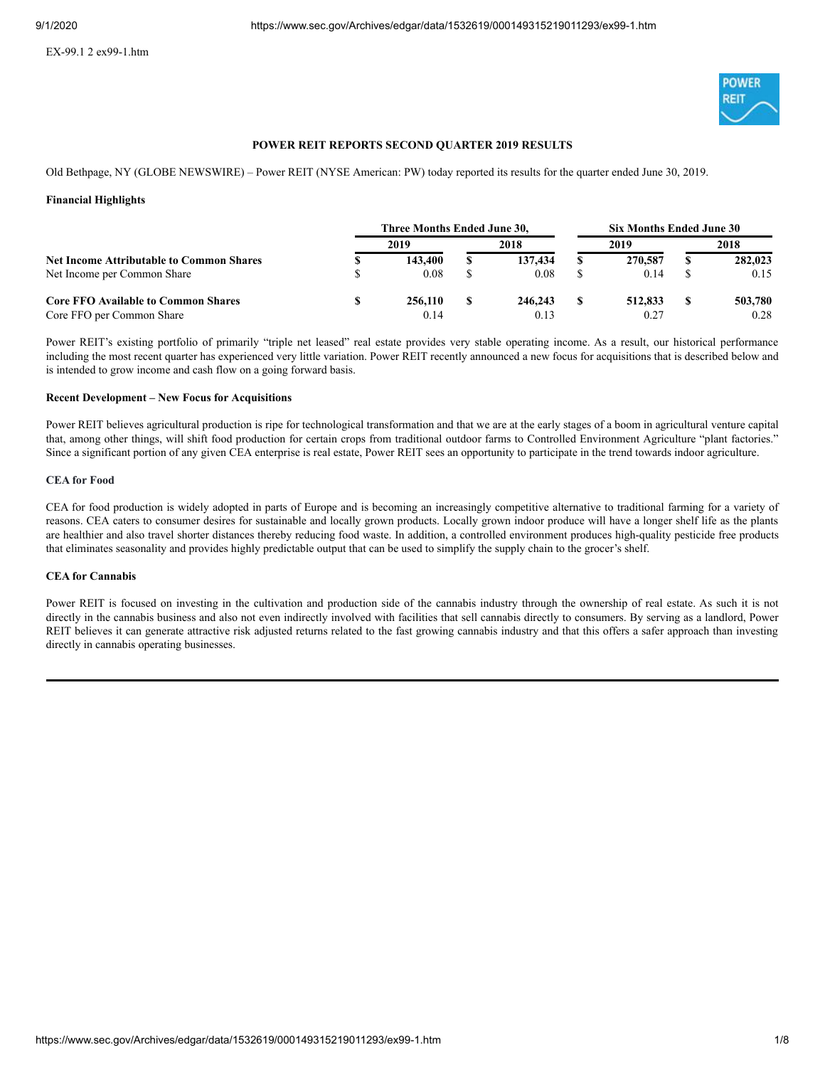EX-99.1 2 ex99-1.htm



# **POWER REIT REPORTS SECOND QUARTER 2019 RESULTS**

Old Bethpage, NY (GLOBE NEWSWIRE) – Power REIT (NYSE American: PW) today reported its results for the quarter ended June 30, 2019.

**Financial Highlights**

|                                                 | Three Months Ended June 30, |         |  |         | <b>Six Months Ended June 30</b> |         |  |         |
|-------------------------------------------------|-----------------------------|---------|--|---------|---------------------------------|---------|--|---------|
|                                                 |                             | 2019    |  | 2018    |                                 | 2019    |  | 2018    |
| <b>Net Income Attributable to Common Shares</b> |                             | 143.400 |  | 137,434 |                                 | 270,587 |  | 282,023 |
| Net Income per Common Share                     |                             | 0.08    |  | 0.08    |                                 | 0.14    |  | 0.15    |
| <b>Core FFO Available to Common Shares</b>      |                             | 256.110 |  | 246,243 |                                 | 512,833 |  | 503,780 |
| Core FFO per Common Share                       |                             | 0.14    |  | 0.13    |                                 | 0.27    |  | 0.28    |

Power REIT's existing portfolio of primarily "triple net leased" real estate provides very stable operating income. As a result, our historical performance including the most recent quarter has experienced very little variation. Power REIT recently announced a new focus for acquisitions that is described below and is intended to grow income and cash flow on a going forward basis.

#### **Recent Development – New Focus for Acquisitions**

Power REIT believes agricultural production is ripe for technological transformation and that we are at the early stages of a boom in agricultural venture capital that, among other things, will shift food production for certain crops from traditional outdoor farms to Controlled Environment Agriculture "plant factories." Since a significant portion of any given CEA enterprise is real estate, Power REIT sees an opportunity to participate in the trend towards indoor agriculture.

# **CEA for Food**

CEA for food production is widely adopted in parts of Europe and is becoming an increasingly competitive alternative to traditional farming for a variety of reasons. CEA caters to consumer desires for sustainable and locally grown products. Locally grown indoor produce will have a longer shelf life as the plants are healthier and also travel shorter distances thereby reducing food waste. In addition, a controlled environment produces high-quality pesticide free products that eliminates seasonality and provides highly predictable output that can be used to simplify the supply chain to the grocer's shelf.

## **CEA for Cannabis**

Power REIT is focused on investing in the cultivation and production side of the cannabis industry through the ownership of real estate. As such it is not directly in the cannabis business and also not even indirectly involved with facilities that sell cannabis directly to consumers. By serving as a landlord, Power REIT believes it can generate attractive risk adjusted returns related to the fast growing cannabis industry and that this offers a safer approach than investing directly in cannabis operating businesses.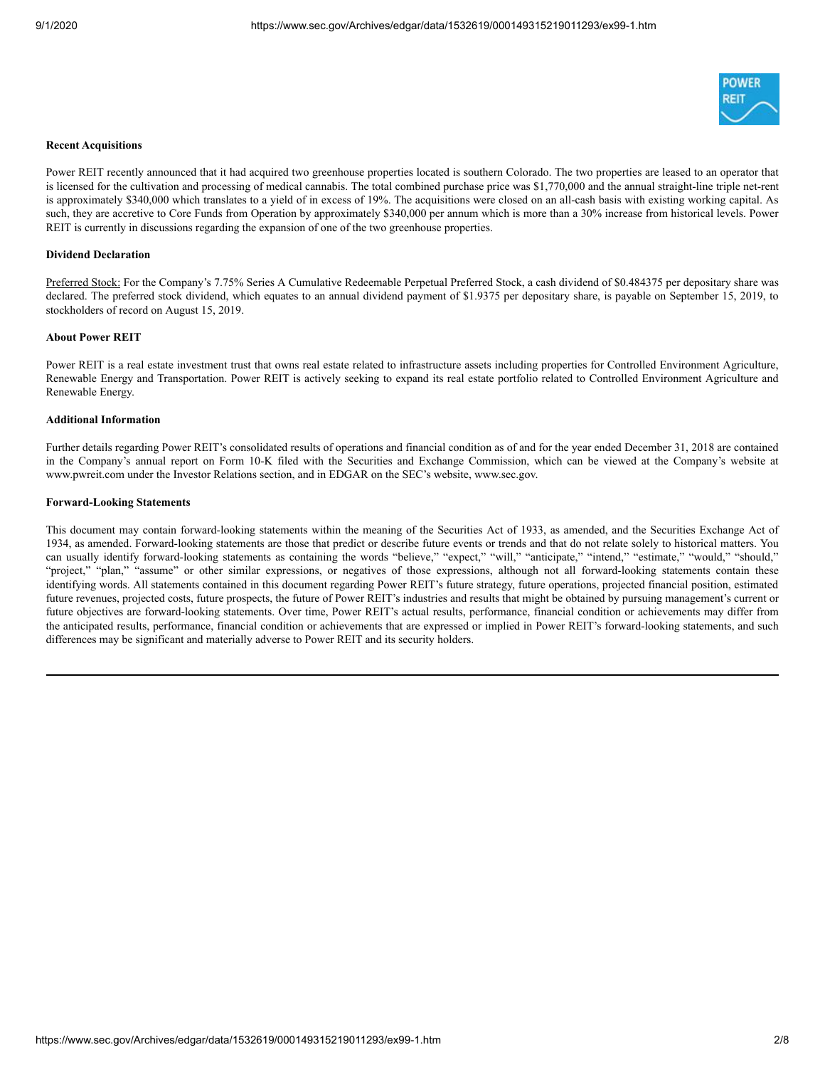

#### **Recent Acquisitions**

Power REIT recently announced that it had acquired two greenhouse properties located is southern Colorado. The two properties are leased to an operator that is licensed for the cultivation and processing of medical cannabis. The total combined purchase price was \$1,770,000 and the annual straight-line triple net-rent is approximately \$340,000 which translates to a yield of in excess of 19%. The acquisitions were closed on an all-cash basis with existing working capital. As such, they are accretive to Core Funds from Operation by approximately \$340,000 per annum which is more than a 30% increase from historical levels. Power REIT is currently in discussions regarding the expansion of one of the two greenhouse properties.

#### **Dividend Declaration**

Preferred Stock: For the Company's 7.75% Series A Cumulative Redeemable Perpetual Preferred Stock, a cash dividend of \$0.484375 per depositary share was declared. The preferred stock dividend, which equates to an annual dividend payment of \$1.9375 per depositary share, is payable on September 15, 2019, to stockholders of record on August 15, 2019.

#### **About Power REIT**

Power REIT is a real estate investment trust that owns real estate related to infrastructure assets including properties for Controlled Environment Agriculture, Renewable Energy and Transportation. Power REIT is actively seeking to expand its real estate portfolio related to Controlled Environment Agriculture and Renewable Energy.

## **Additional Information**

Further details regarding Power REIT's consolidated results of operations and financial condition as of and for the year ended December 31, 2018 are contained in the Company's annual report on Form 10-K filed with the Securities and Exchange Commission, which can be viewed at the Company's website at www.pwreit.com under the Investor Relations section, and in EDGAR on the SEC's website, www.sec.gov.

#### **Forward-Looking Statements**

This document may contain forward-looking statements within the meaning of the Securities Act of 1933, as amended, and the Securities Exchange Act of 1934, as amended. Forward-looking statements are those that predict or describe future events or trends and that do not relate solely to historical matters. You can usually identify forward-looking statements as containing the words "believe," "expect," "will," "anticipate," "intend," "estimate," "would," "should," "project," "plan," "assume" or other similar expressions, or negatives of those expressions, although not all forward-looking statements contain these identifying words. All statements contained in this document regarding Power REIT's future strategy, future operations, projected financial position, estimated future revenues, projected costs, future prospects, the future of Power REIT's industries and results that might be obtained by pursuing management's current or future objectives are forward-looking statements. Over time, Power REIT's actual results, performance, financial condition or achievements may differ from the anticipated results, performance, financial condition or achievements that are expressed or implied in Power REIT's forward-looking statements, and such differences may be significant and materially adverse to Power REIT and its security holders.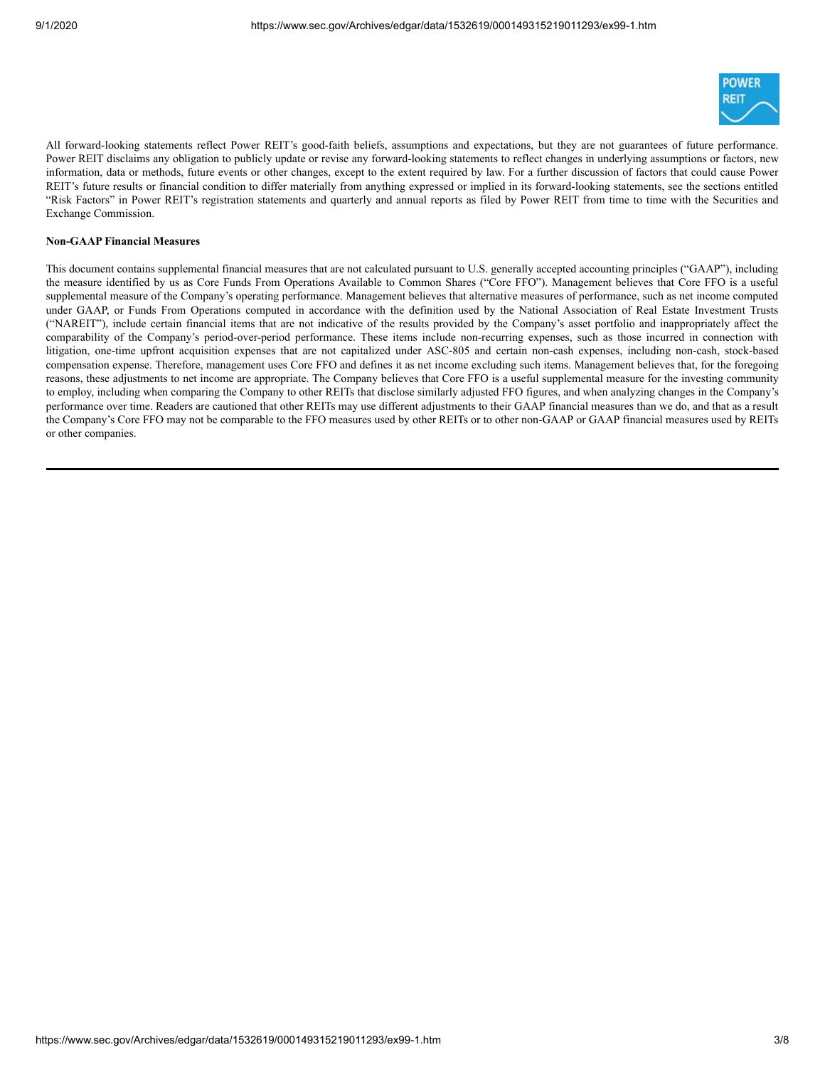

All forward-looking statements reflect Power REIT's good-faith beliefs, assumptions and expectations, but they are not guarantees of future performance. Power REIT disclaims any obligation to publicly update or revise any forward-looking statements to reflect changes in underlying assumptions or factors, new information, data or methods, future events or other changes, except to the extent required by law. For a further discussion of factors that could cause Power REIT's future results or financial condition to differ materially from anything expressed or implied in its forward-looking statements, see the sections entitled "Risk Factors" in Power REIT's registration statements and quarterly and annual reports as filed by Power REIT from time to time with the Securities and Exchange Commission.

## **Non-GAAP Financial Measures**

This document contains supplemental financial measures that are not calculated pursuant to U.S. generally accepted accounting principles ("GAAP"), including the measure identified by us as Core Funds From Operations Available to Common Shares ("Core FFO"). Management believes that Core FFO is a useful supplemental measure of the Company's operating performance. Management believes that alternative measures of performance, such as net income computed under GAAP, or Funds From Operations computed in accordance with the definition used by the National Association of Real Estate Investment Trusts ("NAREIT"), include certain financial items that are not indicative of the results provided by the Company's asset portfolio and inappropriately affect the comparability of the Company's period-over-period performance. These items include non-recurring expenses, such as those incurred in connection with litigation, one-time upfront acquisition expenses that are not capitalized under ASC-805 and certain non-cash expenses, including non-cash, stock-based compensation expense. Therefore, management uses Core FFO and defines it as net income excluding such items. Management believes that, for the foregoing reasons, these adjustments to net income are appropriate. The Company believes that Core FFO is a useful supplemental measure for the investing community to employ, including when comparing the Company to other REITs that disclose similarly adjusted FFO figures, and when analyzing changes in the Company's performance over time. Readers are cautioned that other REITs may use different adjustments to their GAAP financial measures than we do, and that as a result the Company's Core FFO may not be comparable to the FFO measures used by other REITs or to other non-GAAP or GAAP financial measures used by REITs or other companies.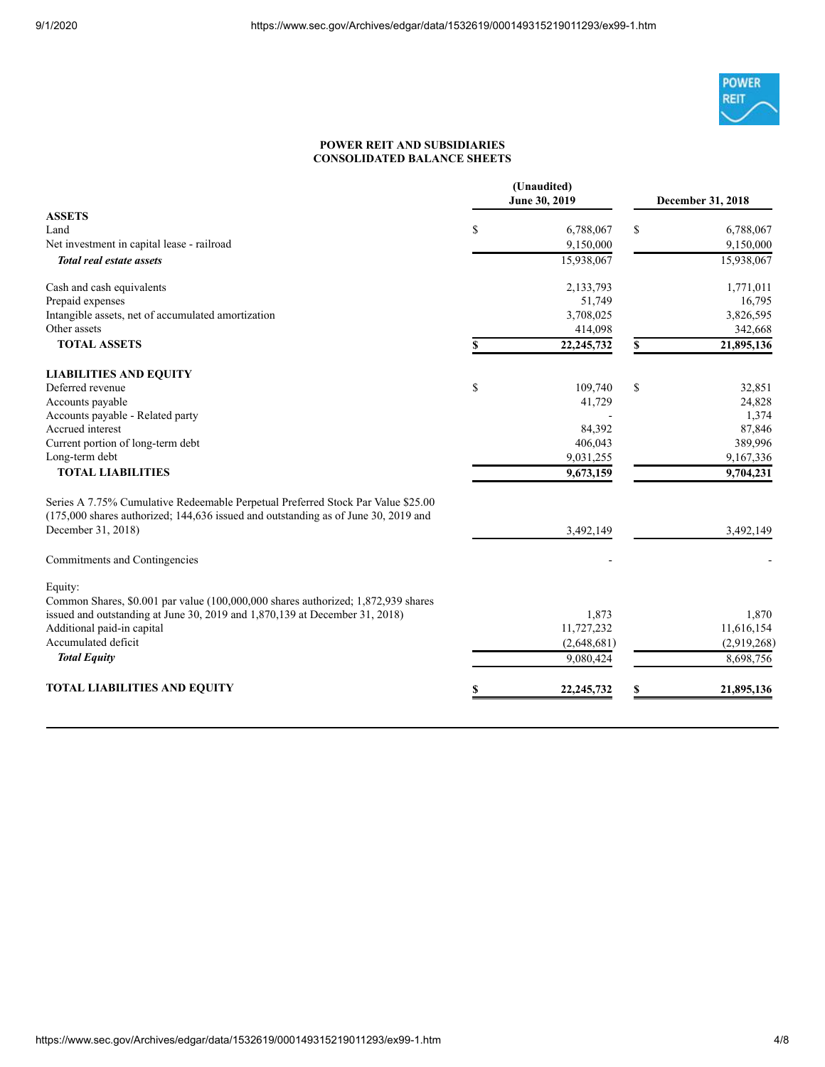

## **POWER REIT AND SUBSIDIARIES CONSOLIDATED BALANCE SHEETS**

|                                                                                                                                                                        | (Unaudited) |               |    |                   |
|------------------------------------------------------------------------------------------------------------------------------------------------------------------------|-------------|---------------|----|-------------------|
|                                                                                                                                                                        |             | June 30, 2019 |    | December 31, 2018 |
| <b>ASSETS</b>                                                                                                                                                          |             |               |    |                   |
| Land                                                                                                                                                                   | \$          | 6,788,067     | \$ | 6,788,067         |
| Net investment in capital lease - railroad                                                                                                                             |             | 9,150,000     |    | 9,150,000         |
| <b>Total real estate assets</b>                                                                                                                                        |             | 15,938,067    |    | 15,938,067        |
| Cash and cash equivalents                                                                                                                                              |             | 2,133,793     |    | 1,771,011         |
| Prepaid expenses                                                                                                                                                       |             | 51,749        |    | 16,795            |
| Intangible assets, net of accumulated amortization                                                                                                                     |             | 3,708,025     |    | 3,826,595         |
| Other assets                                                                                                                                                           |             | 414,098       |    | 342,668           |
| <b>TOTAL ASSETS</b>                                                                                                                                                    | S           | 22, 245, 732  | \$ | 21,895,136        |
| <b>LIABILITIES AND EQUITY</b>                                                                                                                                          |             |               |    |                   |
| Deferred revenue                                                                                                                                                       | \$          | 109,740       | \$ | 32,851            |
| Accounts payable                                                                                                                                                       |             | 41,729        |    | 24,828            |
| Accounts payable - Related party                                                                                                                                       |             |               |    | 1,374             |
| Accrued interest                                                                                                                                                       |             | 84,392        |    | 87,846            |
| Current portion of long-term debt                                                                                                                                      |             | 406,043       |    | 389,996           |
| Long-term debt                                                                                                                                                         |             | 9,031,255     |    | 9,167,336         |
| <b>TOTAL LIABILITIES</b>                                                                                                                                               |             | 9,673,159     |    | 9,704,231         |
| Series A 7.75% Cumulative Redeemable Perpetual Preferred Stock Par Value \$25.00<br>(175,000 shares authorized; 144,636 issued and outstanding as of June 30, 2019 and |             |               |    |                   |
| December 31, 2018)                                                                                                                                                     |             | 3,492,149     |    | 3,492,149         |
| Commitments and Contingencies                                                                                                                                          |             |               |    |                   |
| Equity:                                                                                                                                                                |             |               |    |                   |
| Common Shares, \$0.001 par value (100,000,000 shares authorized; 1,872,939 shares                                                                                      |             |               |    |                   |
| issued and outstanding at June 30, 2019 and 1,870,139 at December 31, 2018)                                                                                            |             | 1,873         |    | 1,870             |
| Additional paid-in capital                                                                                                                                             |             | 11,727,232    |    | 11,616,154        |
| Accumulated deficit                                                                                                                                                    |             | (2,648,681)   |    | (2,919,268)       |
| <b>Total Equity</b>                                                                                                                                                    |             | 9,080,424     |    | 8,698,756         |
| <b>TOTAL LIABILITIES AND EQUITY</b>                                                                                                                                    | \$          | 22,245,732    | S  | 21,895,136        |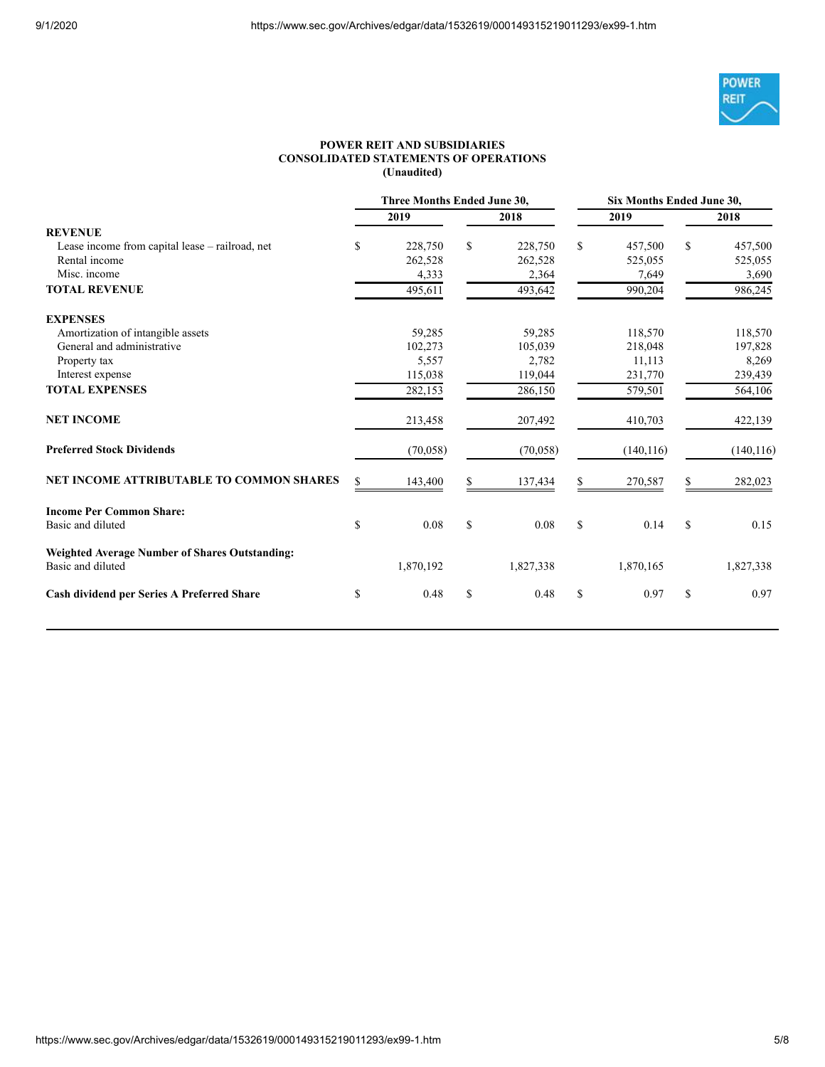

# **POWER REIT AND SUBSIDIARIES CONSOLIDATED STATEMENTS OF OPERATIONS (Unaudited)**

|                                                                            | Three Months Ended June 30, |           |      | <b>Six Months Ended June 30,</b> |      |            |               |            |
|----------------------------------------------------------------------------|-----------------------------|-----------|------|----------------------------------|------|------------|---------------|------------|
|                                                                            |                             | 2019      | 2018 |                                  | 2019 |            | 2018          |            |
| <b>REVENUE</b>                                                             |                             |           |      |                                  |      |            |               |            |
| Lease income from capital lease - railroad, net                            | \$                          | 228,750   | \$   | 228,750                          | \$   | 457,500    | \$            | 457,500    |
| Rental income                                                              |                             | 262,528   |      | 262,528                          |      | 525,055    |               | 525,055    |
| Misc. income                                                               |                             | 4,333     |      | 2,364                            |      | 7,649      |               | 3,690      |
| <b>TOTAL REVENUE</b>                                                       |                             | 495,611   |      | 493,642                          |      | 990,204    |               | 986,245    |
| <b>EXPENSES</b>                                                            |                             |           |      |                                  |      |            |               |            |
| Amortization of intangible assets                                          |                             | 59,285    |      | 59,285                           |      | 118,570    |               | 118,570    |
| General and administrative                                                 |                             | 102,273   |      | 105,039                          |      | 218,048    |               | 197,828    |
| Property tax                                                               |                             | 5,557     |      | 2,782                            |      | 11,113     |               | 8,269      |
| Interest expense                                                           |                             | 115,038   |      | 119,044                          |      | 231,770    |               | 239,439    |
| <b>TOTAL EXPENSES</b>                                                      |                             | 282,153   |      | 286,150                          |      | 579,501    |               | 564,106    |
| <b>NET INCOME</b>                                                          |                             | 213,458   |      | 207,492                          |      | 410,703    |               | 422,139    |
| <b>Preferred Stock Dividends</b>                                           |                             | (70,058)  |      | (70,058)                         |      | (140, 116) |               | (140, 116) |
| <b>NET INCOME ATTRIBUTABLE TO COMMON SHARES</b>                            | \$                          | 143,400   | \$   | 137,434                          | S    | 270,587    | S             | 282,023    |
| <b>Income Per Common Share:</b><br>Basic and diluted                       | \$                          | 0.08      | \$   | 0.08                             | \$   | 0.14       | <sup>\$</sup> | 0.15       |
| <b>Weighted Average Number of Shares Outstanding:</b><br>Basic and diluted |                             | 1,870,192 |      | 1,827,338                        |      | 1,870,165  |               | 1,827,338  |
| Cash dividend per Series A Preferred Share                                 | \$                          | 0.48      | \$   | 0.48                             | \$   | 0.97       | \$            | 0.97       |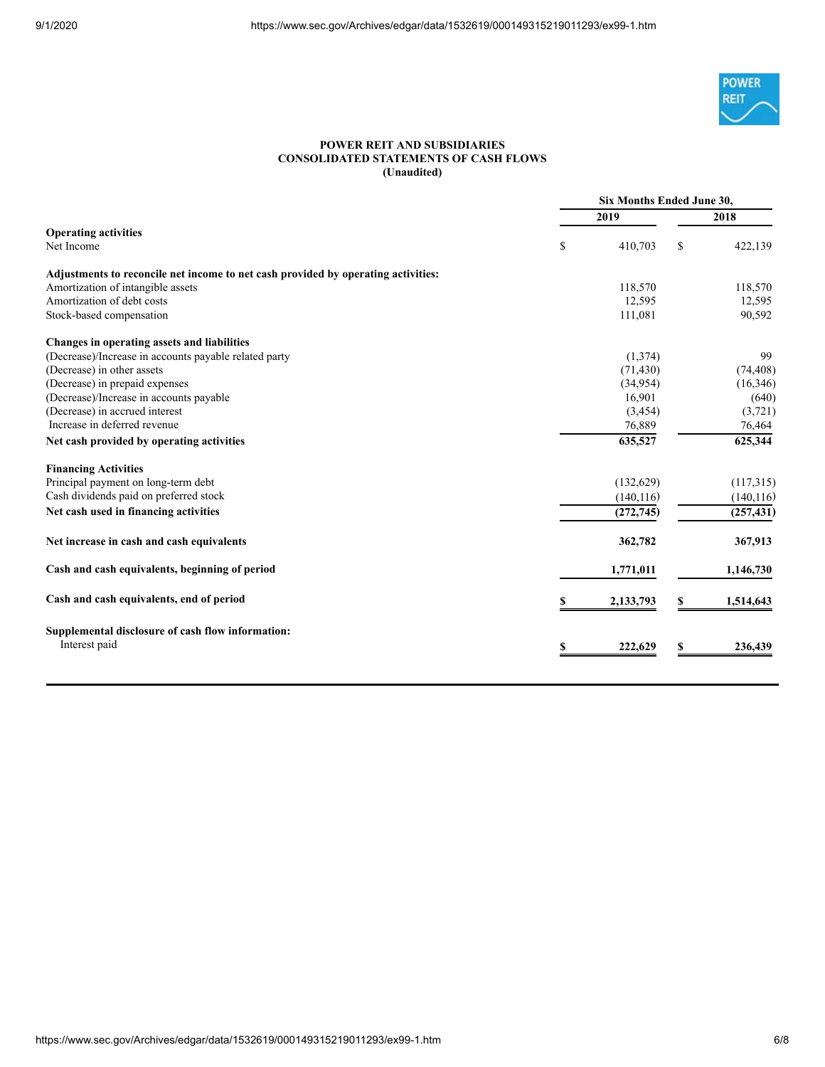

# **POWER REIT AND SUBSIDIARIES CONSOLIDATED STATEMENTS OF CASH FLOWS (Unaudited)**

|                                                                                   |    |            | Six Months Ended June 30, |            |  |
|-----------------------------------------------------------------------------------|----|------------|---------------------------|------------|--|
|                                                                                   |    | 2019       |                           | 2018       |  |
| <b>Operating activities</b>                                                       |    |            |                           |            |  |
| Net Income                                                                        | \$ | 410,703    | \$                        | 422,139    |  |
| Adjustments to reconcile net income to net cash provided by operating activities: |    |            |                           |            |  |
| Amortization of intangible assets                                                 |    | 118,570    |                           | 118,570    |  |
| Amortization of debt costs                                                        |    | 12,595     |                           | 12,595     |  |
| Stock-based compensation                                                          |    | 111,081    |                           | 90,592     |  |
| Changes in operating assets and liabilities                                       |    |            |                           |            |  |
| (Decrease)/Increase in accounts payable related party                             |    | (1,374)    |                           | 99         |  |
| (Decrease) in other assets                                                        |    | (71, 430)  |                           | (74, 408)  |  |
| (Decrease) in prepaid expenses                                                    |    | (34,954)   |                           | (16,346)   |  |
| (Decrease)/Increase in accounts payable                                           |    | 16,901     |                           | (640)      |  |
| (Decrease) in accrued interest                                                    |    | (3, 454)   |                           | (3,721)    |  |
| Increase in deferred revenue                                                      |    | 76,889     |                           | 76,464     |  |
| Net cash provided by operating activities                                         |    | 635,527    |                           | 625,344    |  |
| <b>Financing Activities</b>                                                       |    |            |                           |            |  |
| Principal payment on long-term debt                                               |    | (132, 629) |                           | (117,315)  |  |
| Cash dividends paid on preferred stock                                            |    | (140, 116) |                           | (140, 116) |  |
| Net cash used in financing activities                                             |    | (272, 745) |                           | (257, 431) |  |
| Net increase in cash and cash equivalents                                         |    | 362,782    |                           | 367,913    |  |
| Cash and cash equivalents, beginning of period                                    |    | 1,771,011  |                           | 1,146,730  |  |
| Cash and cash equivalents, end of period                                          |    | 2,133,793  | S                         | 1,514,643  |  |
| Supplemental disclosure of cash flow information:                                 |    |            |                           |            |  |
| Interest paid                                                                     | \$ | 222,629    | S                         | 236,439    |  |
|                                                                                   |    |            |                           |            |  |